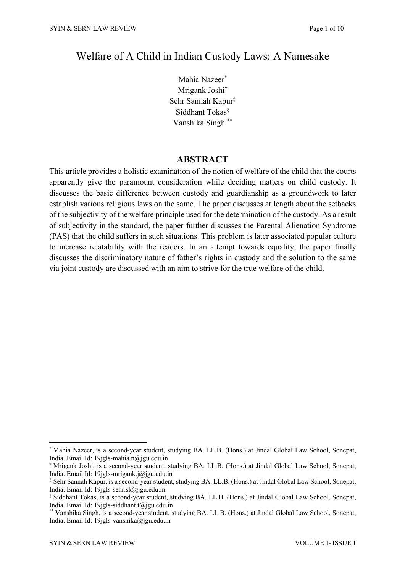## Welfare of A Child in Indian Custody Laws: A Namesake

Mahia Nazeer\* Mrigank Joshi† Sehr Sannah Kapur‡ Siddhant Tokas§ Vanshika Singh \*\*

## **ABSTRACT**

This article provides a holistic examination of the notion of welfare of the child that the courts apparently give the paramount consideration while deciding matters on child custody. It discusses the basic difference between custody and guardianship as a groundwork to later establish various religious laws on the same. The paper discusses at length about the setbacks of the subjectivity of the welfare principle used for the determination of the custody. As a result of subjectivity in the standard, the paper further discusses the Parental Alienation Syndrome (PAS) that the child suffers in such situations. This problem is later associated popular culture to increase relatability with the readers. In an attempt towards equality, the paper finally discusses the discriminatory nature of father's rights in custody and the solution to the same via joint custody are discussed with an aim to strive for the true welfare of the child.

<sup>\*</sup> Mahia Nazeer, is a second-year student, studying BA. LL.B. (Hons.) at Jindal Global Law School, Sonepat, India. Email Id: 19jgls-mahia.n@jgu.edu.in

<sup>†</sup> Mrigank Joshi, is a second-year student, studying BA. LL.B. (Hons.) at Jindal Global Law School, Sonepat, India. Email Id: 19jgls-mrigank.j@jgu.edu.in

<sup>‡</sup> Sehr Sannah Kapur, is a second-year student, studying BA. LL.B. (Hons.) at Jindal Global Law School, Sonepat, India. Email Id: 19jgls-sehr.sk@jgu.edu.in

<sup>§</sup> Siddhant Tokas, is a second-year student, studying BA. LL.B. (Hons.) at Jindal Global Law School, Sonepat, India. Email Id: 19jgls-siddhant.t@jgu.edu.in

<sup>\*\*</sup> Vanshika Singh, is a second-year student, studying BA. LL.B. (Hons.) at Jindal Global Law School, Sonepat, India. Email Id: 19jgls-vanshika@jgu.edu.in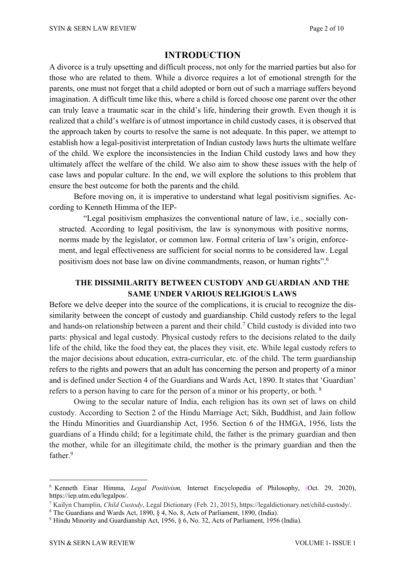## **INTRODUCTION**

A divorce is a truly upsetting and difficult process, not only for the married parties but also for those who are related to them. While a divorce requires a lot of emotional strength for the parents, one must not forget that a child adopted or born out of such a marriage suffers beyond imagination. A difficult time like this, where a child is forced choose one parent over the other can truly leave a traumatic scar in the child's life, hindering their growth. Even though it is realized that a child's welfare is of utmost importance in child custody cases, it is observed that the approach taken by courts to resolve the same is not adequate. In this paper, we attempt to establish how a legal-positivist interpretation of Indian custody laws hurts the ultimate welfare of the child. We explore the inconsistencies in the Indian Child custody laws and how they ultimately affect the welfare of the child. We also aim to show these issues with the help of case laws and popular culture. In the end, we will explore the solutions to this problem that ensure the best outcome for both the parents and the child.

Before moving on, it is imperative to understand what legal positivism signifies. According to Kenneth Himma of the IEP-

"Legal positivism emphasizes the conventional nature of law, i.e., socially constructed. According to legal positivism, the law is synonymous with positive norms, norms made by the legislator, or common law. Formal criteria of law's origin, enforcement, and legal effectiveness are sufficient for social norms to be considered law. Legal positivism does not base law on divine commandments, reason, or human rights".<sup>6</sup>

## **THE DISSIMILARITY BETWEEN CUSTODY AND GUARDIAN AND THE SAME UNDER VARIOUS RELIGIOUS LAWS**

Before we delve deeper into the source of the complications, it is crucial to recognize the dissimilarity between the concept of custody and guardianship. Child custody refers to the legal and hands-on relationship between a parent and their child.7 Child custody is divided into two parts: physical and legal custody. Physical custody refers to the decisions related to the daily life of the child, like the food they eat, the places they visit, etc. While legal custody refers to the major decisions about education, extra-curricular, etc. of the child. The term guardianship refers to the rights and powers that an adult has concerning the person and property of a minor and is defined under Section 4 of the Guardians and Wards Act, 1890. It states that 'Guardian' refers to a person having to care for the person of a minor or his property, or both. <sup>8</sup>

Owing to the secular nature of India, each religion has its own set of laws on child custody. According to Section 2 of the Hindu Marriage Act; Sikh, Buddhist, and Jain follow the Hindu Minorities and Guardianship Act, 1956. Section 6 of the HMGA, 1956, lists the guardians of a Hindu child; for a legitimate child, the father is the primary guardian and then the mother, while for an illegitimate child, the mother is the primary guardian and then the father.9

<sup>6</sup> Kenneth Einar Himma, *Legal Positivism,* Internet Encyclopedia of Philosophy, (Oct. 29, 2020), https://iep.utm.edu/legalpos/.

<sup>7</sup> Kailyn Champlin, *Child Custody*, Legal Dictionary (Feb. 21, 2015), https://legaldictionary.net/child-custody/.

<sup>8</sup> The Guardians and Wards Act, 1890, § 4, No. 8, Acts of Parliament, 1890, (India).

<sup>9</sup> Hindu Minority and Guardianship Act, 1956, § 6, No. 32, Acts of Parliament, 1956 (India).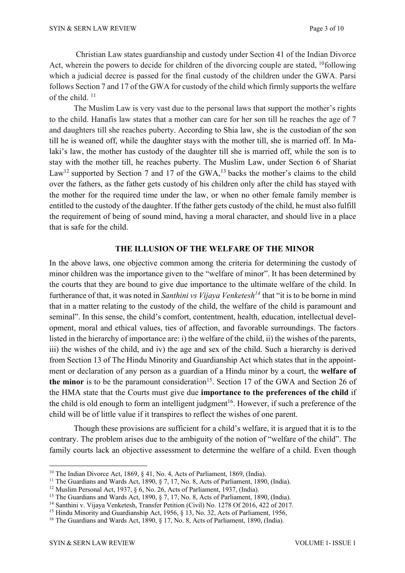Christian Law states guardianship and custody under Section 41 of the Indian Divorce Act, wherein the powers to decide for children of the divorcing couple are stated, <sup>10</sup>following which a judicial decree is passed for the final custody of the children under the GWA. Parsi follows Section 7 and 17 of the GWA for custody of the child which firmly supports the welfare of the child.<sup>11</sup>

The Muslim Law is very vast due to the personal laws that support the mother's rights to the child. Hanafis law states that a mother can care for her son till he reaches the age of 7 and daughters till she reaches puberty. According to Shia law, she is the custodian of the son till he is weaned off, while the daughter stays with the mother till, she is married off. In Malaki's law, the mother has custody of the daughter till she is married off, while the son is to stay with the mother till, he reaches puberty. The Muslim Law, under Section 6 of Shariat Law<sup>12</sup> supported by Section 7 and 17 of the GWA,<sup>13</sup> backs the mother's claims to the child over the fathers, as the father gets custody of his children only after the child has stayed with the mother for the required time under the law, or when no other female family member is entitled to the custody of the daughter. If the father gets custody of the child, he must also fulfill the requirement of being of sound mind, having a moral character, and should live in a place that is safe for the child.

#### **THE ILLUSION OF THE WELFARE OF THE MINOR**

In the above laws, one objective common among the criteria for determining the custody of minor children was the importance given to the "welfare of minor". It has been determined by the courts that they are bound to give due importance to the ultimate welfare of the child. In furtherance of that, it was noted in *Santhini vs Vijaya Venketesh14* that "it is to be borne in mind that in a matter relating to the custody of the child, the welfare of the child is paramount and seminal". In this sense, the child's comfort, contentment, health, education, intellectual development, moral and ethical values, ties of affection, and favorable surroundings. The factors listed in the hierarchy of importance are: i) the welfare of the child, ii) the wishes of the parents, iii) the wishes of the child, and iv) the age and sex of the child. Such a hierarchy is derived from Section 13 of The Hindu Minority and Guardianship Act which states that in the appointment or declaration of any person as a guardian of a Hindu minor by a court, the **welfare of** the minor is to be the paramount consideration<sup>15</sup>. Section 17 of the GWA and Section 26 of the HMA state that the Courts must give due **importance to the preferences of the child** if the child is old enough to form an intelligent judgment<sup>16</sup>. However, if such a preference of the child will be of little value if it transpires to reflect the wishes of one parent.

Though these provisions are sufficient for a child's welfare, it is argued that it is to the contrary. The problem arises due to the ambiguity of the notion of "welfare of the child". The family courts lack an objective assessment to determine the welfare of a child. Even though

<sup>&</sup>lt;sup>10</sup> The Indian Divorce Act, 1869, § 41, No. 4, Acts of Parliament, 1869, (India).

<sup>&</sup>lt;sup>11</sup> The Guardians and Wards Act, 1890,  $\S$  7, 17, No. 8, Acts of Parliament, 1890, (India).

<sup>&</sup>lt;sup>12</sup> Muslim Personal Act, 1937, § 6, No. 26, Acts of Parliament, 1937, (India).

<sup>&</sup>lt;sup>13</sup> The Guardians and Wards Act, 1890, § 7, 17, No. 8, Acts of Parliament, 1890, (India).

<sup>&</sup>lt;sup>14</sup> Santhini v. Vijaya Venketesh, Transfer Petition (Civil) No. 1278 Of 2016, 422 of 2017.

<sup>&</sup>lt;sup>15</sup> Hindu Minority and Guardianship Act, 1956, § 13, No. 32, Acts of Parliament, 1956,

<sup>&</sup>lt;sup>16</sup> The Guardians and Wards Act, 1890, § 17, No. 8, Acts of Parliament, 1890, (India).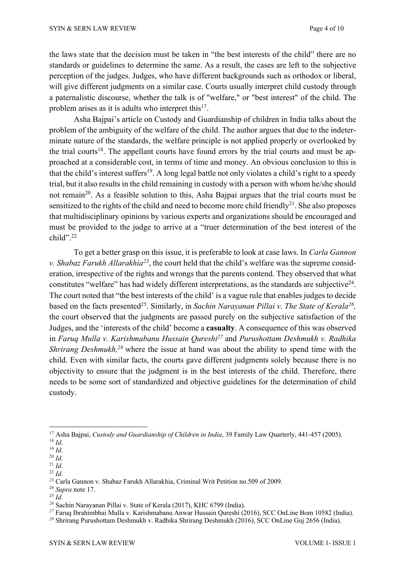the laws state that the decision must be taken in "the best interests of the child" there are no standards or guidelines to determine the same. As a result, the cases are left to the subjective perception of the judges. Judges, who have different backgrounds such as orthodox or liberal, will give different judgments on a similar case. Courts usually interpret child custody through a paternalistic discourse, whether the talk is of "welfare," or "best interest" of the child. The problem arises as it is adults who interpret this $17$ .

Asha Bajpai's article on Custody and Guardianship of children in India talks about the problem of the ambiguity of the welfare of the child. The author argues that due to the indeterminate nature of the standards, the welfare principle is not applied properly or overlooked by the trial courts<sup>18</sup>. The appellant courts have found errors by the trial courts and must be approached at a considerable cost, in terms of time and money. An obvious conclusion to this is that the child's interest suffers<sup>19</sup>. A long legal battle not only violates a child's right to a speedy trial, but it also results in the child remaining in custody with a person with whom he/she should not remain<sup>20</sup>. As a feasible solution to this, Asha Bajpai argues that the trial courts must be sensitized to the rights of the child and need to become more child friendly<sup>21</sup>. She also proposes that multidisciplinary opinions by various experts and organizations should be encouraged and must be provided to the judge to arrive at a "truer determination of the best interest of the child". 22

To get a better grasp on this issue, it is preferable to look at case laws. In *Carla Gannon v. Shabaz Farukh Allarakhia23*, the court held that the child's welfare was the supreme consideration, irrespective of the rights and wrongs that the parents contend. They observed that what constitutes "welfare" has had widely different interpretations, as the standards are subjective $^{24}$ . The court noted that "the best interests of the child' is a vague rule that enables judges to decide based on the facts presented25. Similarly, in *Sachin Narayanan Pillai v. The State of Kerala26,* the court observed that the judgments are passed purely on the subjective satisfaction of the Judges, and the 'interests of the child' become a **casualty**. A consequence of this was observed in *Faruq Mulla v. Karishmabanu Hussain Qureshi27* and *Purushottam Deshmukh v. Radhika Shrirang Deshmukh, <sup>28</sup>* where the issue at hand was about the ability to spend time with the child. Even with similar facts, the courts gave different judgments solely because there is no objectivity to ensure that the judgment is in the best interests of the child. Therefore, there needs to be some sort of standardized and objective guidelines for the determination of child custody.

*<sup>27</sup>* Faruq Ibrahimbhai Mulla v. Karishmabanu Anwar Hussain Qureshi (2016), SCC OnLine Bom 10582 (India).

<sup>17</sup> Asha Bajpai, *Custody and Guardianship of Children in India*, 39 Family Law Quarterly, 441-457 (2005). <sup>18</sup> *Id*.

<sup>19</sup> *Id*.

 $\frac{^{20}~Id.}{^{21}~Id.}$ 

 $22$  *Id*.

*<sup>23</sup>* Carla Gannon v. Shabaz Farukh Allarakhia, Criminal Writ Petition no.509 of 2009.

<sup>24</sup> *Supra* note 17.

<sup>25</sup> *Id*.

*<sup>26</sup>* Sachin Narayanan Pillai v. State of Kerala (2017), KHC 6799 (India).

<sup>&</sup>lt;sup>28</sup> Shrirang Purushottam Deshmukh v. Radhika Shrirang Deshmukh (2016), SCC OnLine Guj 2656 (India).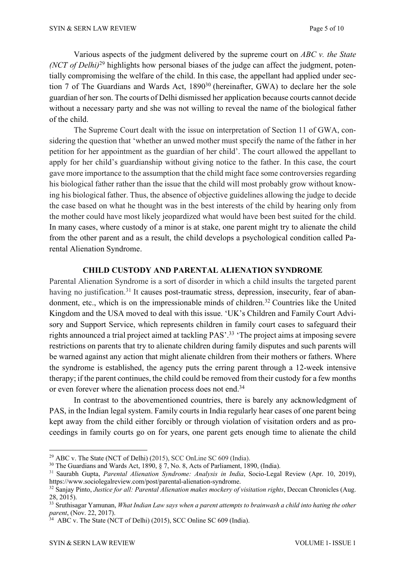Various aspects of the judgment delivered by the supreme court on *ABC v. the State (NCT of Delhi)*<sup>29</sup> highlights how personal biases of the judge can affect the judgment, potentially compromising the welfare of the child. In this case, the appellant had applied under section 7 of The Guardians and Wards Act, 1890<sup>30</sup> (hereinafter, GWA) to declare her the sole guardian of her son. The courts of Delhi dismissed her application because courts cannot decide without a necessary party and she was not willing to reveal the name of the biological father of the child.

The Supreme Court dealt with the issue on interpretation of Section 11 of GWA, considering the question that 'whether an unwed mother must specify the name of the father in her petition for her appointment as the guardian of her child'. The court allowed the appellant to apply for her child's guardianship without giving notice to the father. In this case, the court gave more importance to the assumption that the child might face some controversies regarding his biological father rather than the issue that the child will most probably grow without knowing his biological father. Thus, the absence of objective guidelines allowing the judge to decide the case based on what he thought was in the best interests of the child by hearing only from the mother could have most likely jeopardized what would have been best suited for the child. In many cases, where custody of a minor is at stake, one parent might try to alienate the child from the other parent and as a result, the child develops a psychological condition called Parental Alienation Syndrome.

#### **CHILD CUSTODY AND PARENTAL ALIENATION SYNDROME**

Parental Alienation Syndrome is a sort of disorder in which a child insults the targeted parent having no justification.<sup>31</sup> It causes post-traumatic stress, depression, insecurity, fear of abandonment, etc., which is on the impressionable minds of children.<sup>32</sup> Countries like the United Kingdom and the USA moved to deal with this issue. 'UK's Children and Family Court Advisory and Support Service, which represents children in family court cases to safeguard their rights announced a trial project aimed at tackling PAS'. <sup>33</sup> 'The project aims at imposing severe restrictions on parents that try to alienate children during family disputes and such parents will be warned against any action that might alienate children from their mothers or fathers. Where the syndrome is established, the agency puts the erring parent through a 12-week intensive therapy; if the parent continues, the child could be removed from their custody for a few months or even forever where the alienation process does not end.34

In contrast to the abovementioned countries, there is barely any acknowledgment of PAS, in the Indian legal system. Family courts in India regularly hear cases of one parent being kept away from the child either forcibly or through violation of visitation orders and as proceedings in family courts go on for years, one parent gets enough time to alienate the child

 $29$  ABC v. The State (NCT of Delhi) (2015), SCC OnLine SC 609 (India).

<sup>30</sup> The Guardians and Wards Act, 1890, § 7, No. 8, Acts of Parliament, 1890, (India).

<sup>31</sup> Saurabh Gupta, *Parental Alienation Syndrome: Analysis in India*, Socio-Legal Review (Apr. 10, 2019), https://www.sociolegalreview.com/post/parental-alienation-syndrome.

<sup>32</sup> Sanjay Pinto, *Justice for all: Parental Alienation makes mockery of visitation rights*, Deccan Chronicles (Aug. 28, 2015).

<sup>33</sup> Sruthisagar Yamunan, *What Indian Law says when a parent attempts to brainwash a child into hating the other parent*, (Nov. 22, 2017).

<sup>&</sup>lt;sup>34</sup> ABC v. The State (NCT of Delhi) (2015), SCC Online SC 609 (India).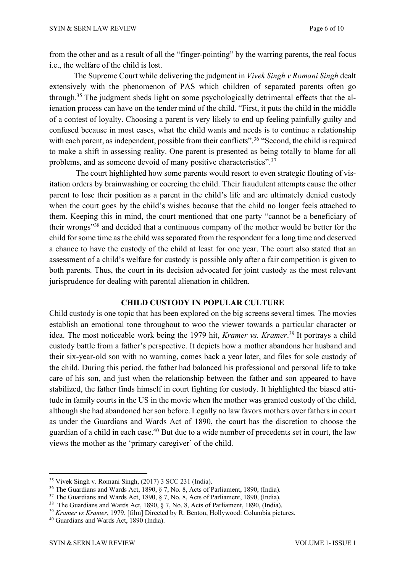from the other and as a result of all the "finger-pointing" by the warring parents, the real focus i.e., the welfare of the child is lost.

The Supreme Court while delivering the judgment in *Vivek Singh v Romani Singh* dealt extensively with the phenomenon of PAS which children of separated parents often go through.35 The judgment sheds light on some psychologically detrimental effects that the alienation process can have on the tender mind of the child. "First, it puts the child in the middle of a contest of loyalty. Choosing a parent is very likely to end up feeling painfully guilty and confused because in most cases, what the child wants and needs is to continue a relationship with each parent, as independent, possible from their conflicts".<sup>36</sup> "Second, the child is required to make a shift in assessing reality. One parent is presented as being totally to blame for all problems, and as someone devoid of many positive characteristics".<sup>37</sup>

The court highlighted how some parents would resort to even strategic flouting of visitation orders by brainwashing or coercing the child. Their fraudulent attempts cause the other parent to lose their position as a parent in the child's life and are ultimately denied custody when the court goes by the child's wishes because that the child no longer feels attached to them. Keeping this in mind, the court mentioned that one party "cannot be a beneficiary of their wrongs"38 and decided that a continuous company of the mother would be better for the child forsome time as the child was separated from the respondent for a long time and deserved a chance to have the custody of the child at least for one year. The court also stated that an assessment of a child's welfare for custody is possible only after a fair competition is given to both parents. Thus, the court in its decision advocated for joint custody as the most relevant jurisprudence for dealing with parental alienation in children.

#### **CHILD CUSTODY IN POPULAR CULTURE**

Child custody is one topic that has been explored on the big screens several times. The movies establish an emotional tone throughout to woo the viewer towards a particular character or idea. The most noticeable work being the 1979 hit, *Kramer vs. Kramer*. <sup>39</sup> It portrays a child custody battle from a father's perspective. It depicts how a mother abandons her husband and their six-year-old son with no warning, comes back a year later, and files for sole custody of the child. During this period, the father had balanced his professional and personal life to take care of his son, and just when the relationship between the father and son appeared to have stabilized, the father finds himself in court fighting for custody. It highlighted the biased attitude in family courts in the US in the movie when the mother was granted custody of the child, although she had abandoned her son before. Legally no law favors mothers over fathersin court as under the Guardians and Wards Act of 1890, the court has the discretion to choose the guardian of a child in each case.<sup>40</sup> But due to a wide number of precedents set in court, the law views the mother as the 'primary caregiver' of the child.

<sup>35</sup> Vivek Singh v. Romani Singh, (2017) 3 SCC 231 (India).

<sup>36</sup> The Guardians and Wards Act, 1890, § 7, No. 8, Acts of Parliament, 1890, (India).

<sup>37</sup> The Guardians and Wards Act, 1890, § 7, No. 8, Acts of Parliament, 1890, (India).

<sup>&</sup>lt;sup>38</sup> The Guardians and Wards Act, 1890, § 7, No. 8, Acts of Parliament, 1890, (India).

<sup>39</sup> *Kramer vs Kramer*, 1979, [film] Directed by R. Benton, Hollywood: Columbia pictures.

<sup>40</sup> Guardians and Wards Act, 1890 (India).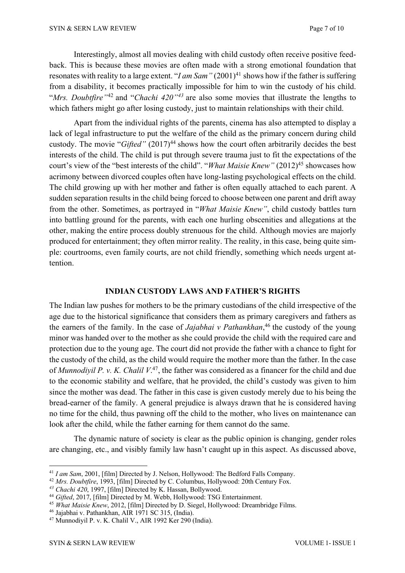Interestingly, almost all movies dealing with child custody often receive positive feedback. This is because these movies are often made with a strong emotional foundation that resonates with reality to a large extent. "*I am Sam*" (2001)<sup>41</sup> shows how if the father is suffering from a disability, it becomes practically impossible for him to win the custody of his child. "*Mrs. Doubtfire"*<sup>42</sup> and "*Chachi 420"43* are also some movies that illustrate the lengths to which fathers might go after losing custody, just to maintain relationships with their child.

Apart from the individual rights of the parents, cinema has also attempted to display a lack of legal infrastructure to put the welfare of the child as the primary concern during child custody. The movie "*Gifted*" (2017)<sup>44</sup> shows how the court often arbitrarily decides the best interests of the child. The child is put through severe trauma just to fit the expectations of the court's view of the "best interests of the child". "*What Maisie Knew*" (2012)<sup>45</sup> showcases how acrimony between divorced couples often have long-lasting psychological effects on the child. The child growing up with her mother and father is often equally attached to each parent. A sudden separation results in the child being forced to choose between one parent and drift away from the other. Sometimes, as portrayed in "*What Maisie Knew"*, child custody battles turn into battling ground for the parents, with each one hurling obscenities and allegations at the other, making the entire process doubly strenuous for the child. Although movies are majorly produced for entertainment; they often mirror reality. The reality, in this case, being quite simple: courtrooms, even family courts, are not child friendly, something which needs urgent attention.

## **INDIAN CUSTODY LAWS AND FATHER'S RIGHTS**

The Indian law pushes for mothers to be the primary custodians of the child irrespective of the age due to the historical significance that considers them as primary caregivers and fathers as the earners of the family. In the case of *Jajabhai v Pathankhan*, <sup>46</sup> the custody of the young minor was handed over to the mother as she could provide the child with the required care and protection due to the young age. The court did not provide the father with a chance to fight for the custody of the child, as the child would require the mother more than the father. In the case of *Munnodiyil P. v. K. Chalil V*. 47, the father was considered as a financer for the child and due to the economic stability and welfare, that he provided, the child's custody was given to him since the mother was dead. The father in this case is given custody merely due to his being the bread-earner of the family. A general prejudice is always drawn that he is considered having no time for the child, thus pawning off the child to the mother, who lives on maintenance can look after the child, while the father earning for them cannot do the same.

The dynamic nature of society is clear as the public opinion is changing, gender roles are changing, etc., and visibly family law hasn't caught up in this aspect. As discussed above,

<sup>41</sup> *I am Sam*, 2001, [film] Directed by J. Nelson, Hollywood: The Bedford Falls Company.

<sup>42</sup> *Mrs. Doubtfire*, 1993, [film] Directed by C. Columbus, Hollywood: 20th Century Fox.

*<sup>43</sup> Chachi 420*, 1997, [film] Directed by K. Hassan, Bollywood.

<sup>44</sup> *Gifted*, 2017, [film] Directed by M. Webb, Hollywood: TSG Entertainment.

<sup>45</sup> *What Maisie Knew*, 2012, [film] Directed by D. Siegel, Hollywood: Dreambridge Films.

<sup>46</sup> Jajabhai v. Pathankhan, AIR 1971 SC 315, (India).

<sup>47</sup> Munnodiyil P. v. K. Chalil V., AIR 1992 Ker 290 (India).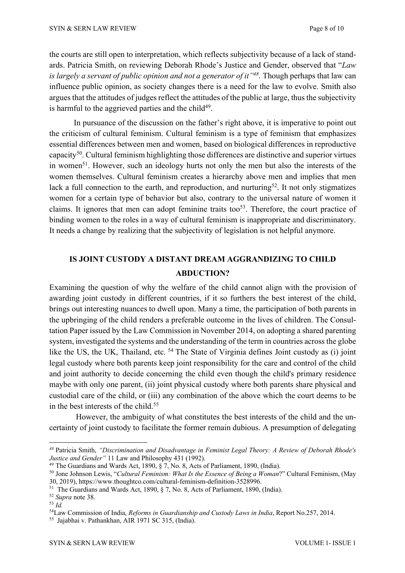the courts are still open to interpretation, which reflects subjectivity because of a lack of standards. Patricia Smith, on reviewing Deborah Rhode's Justice and Gender, observed that "*Law is largely a servant of public opinion and not a generator of it"48.* Though perhaps that law can influence public opinion, as society changes there is a need for the law to evolve. Smith also argues that the attitudes of judges reflect the attitudes of the public at large, thus the subjectivity is harmful to the aggrieved parties and the child<sup>49</sup>.

In pursuance of the discussion on the father's right above, it is imperative to point out the criticism of cultural feminism. Cultural feminism is a type of feminism that emphasizes essential differences between men and women, based on biological differences in reproductive capacity<sup>50</sup>. Cultural feminism highlighting those differences are distinctive and superior virtues in women<sup>51</sup>. However, such an ideology hurts not only the men but also the interests of the women themselves. Cultural feminism creates a hierarchy above men and implies that men lack a full connection to the earth, and reproduction, and nurturing<sup>52</sup>. It not only stigmatizes women for a certain type of behavior but also, contrary to the universal nature of women it claims. It ignores that men can adopt feminine traits too<sup>53</sup>. Therefore, the court practice of binding women to the roles in a way of cultural feminism is inappropriate and discriminatory. It needs a change by realizing that the subjectivity of legislation is not helpful anymore.

# **IS JOINT CUSTODY A DISTANT DREAM AGGRANDIZING TO CHILD ABDUCTION?**

Examining the question of why the welfare of the child cannot align with the provision of awarding joint custody in different countries, if it so furthers the best interest of the child, brings out interesting nuances to dwell upon. Many a time, the participation of both parents in the upbringing of the child renders a preferable outcome in the lives of children. The Consultation Paper issued by the Law Commission in November 2014, on adopting a shared parenting system, investigated the systems and the understanding of the term in countries acrossthe globe like the US, the UK, Thailand, etc. <sup>54</sup> The State of Virginia defines Joint custody as (i) joint legal custody where both parents keep joint responsibility for the care and control of the child and joint authority to decide concerning the child even though the child's primary residence maybe with only one parent, (ii) joint physical custody where both parents share physical and custodial care of the child, or (iii) any combination of the above which the court deems to be in the best interests of the child.55

However, the ambiguity of what constitutes the best interests of the child and the uncertainty of joint custody to facilitate the former remain dubious. A presumption of delegating

*<sup>48</sup>* Patricia Smith, *"Discrimination and Disadvantage in Feminist Legal Theory: A Review of Deborah Rhode's Justice and Gender"* 11 Law and Philosophy 431 (1992).

<sup>49</sup> The Guardians and Wards Act, 1890, § 7, No. 8, Acts of Parliament, 1890, (India).

<sup>50</sup> Jone Johnson Lewis, "*Cultural Feminism: What Is the Essence of Being a Woman*?" Cultural Feminism, (May 30, 2019), https://www.thoughtco.com/cultural-feminism-definition-3528996.

<sup>51</sup> The Guardians and Wards Act, 1890, § 7, No. 8, Acts of Parliament, 1890, (India).

<sup>52</sup> *Supra* note 38.

<sup>53</sup> *Id.*

<sup>54</sup>Law Commission of India, *Reforms in Guardianship and Custody Laws in India*, Report No.257, 2014.

<sup>55</sup> Jajabhai v. Pathankhan, AIR 1971 SC 315, (India).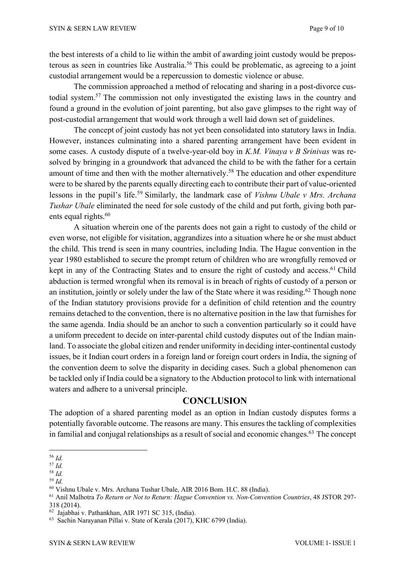the best interests of a child to lie within the ambit of awarding joint custody would be preposterous as seen in countries like Australia.<sup>56</sup> This could be problematic, as agreeing to a joint custodial arrangement would be a repercussion to domestic violence or abuse.

The commission approached a method of relocating and sharing in a post-divorce custodial system.57 The commission not only investigated the existing laws in the country and found a ground in the evolution of joint parenting, but also gave glimpses to the right way of post-custodial arrangement that would work through a well laid down set of guidelines.

The concept of joint custody has not yet been consolidated into statutory laws in India. However, instances culminating into a shared parenting arrangement have been evident in some cases. A custody dispute of a twelve-year-old boy in *K.M. Vinaya v B Srinivas* was resolved by bringing in a groundwork that advanced the child to be with the father for a certain amount of time and then with the mother alternatively.58 The education and other expenditure were to be shared by the parents equally directing each to contribute their part of value-oriented lessons in the pupil's life.59 Similarly, the landmark case of *Vishnu Ubale v Mrs. Archana Tushar Ubale* eliminated the need for sole custody of the child and put forth, giving both parents equal rights.<sup>60</sup>

A situation wherein one of the parents does not gain a right to custody of the child or even worse, not eligible for visitation, aggrandizes into a situation where he or she must abduct the child. This trend is seen in many countries, including India. The Hague convention in the year 1980 established to secure the prompt return of children who are wrongfully removed or kept in any of the Contracting States and to ensure the right of custody and access.<sup>61</sup> Child abduction is termed wrongful when its removal is in breach of rights of custody of a person or an institution, jointly or solely under the law of the State where it was residing.<sup>62</sup> Though none of the Indian statutory provisions provide for a definition of child retention and the country remains detached to the convention, there is no alternative position in the law that furnishes for the same agenda. India should be an anchor to such a convention particularly so it could have a uniform precedent to decide on inter-parental child custody disputes out of the Indian mainland. To associate the global citizen and render uniformity in deciding inter-continental custody issues, be it Indian court orders in a foreign land or foreign court orders in India, the signing of the convention deem to solve the disparity in deciding cases. Such a global phenomenon can be tackled only if India could be a signatory to the Abduction protocol to link with international waters and adhere to a universal principle.

### **CONCLUSION**

The adoption of a shared parenting model as an option in Indian custody disputes forms a potentially favorable outcome. The reasons are many. This ensures the tackling of complexities in familial and conjugal relationships as a result of social and economic changes.<sup>63</sup> The concept

<sup>56</sup> *Id.*

<sup>57</sup> *Id.*

<sup>58</sup> *Id.*

<sup>59</sup> *Id.*

<sup>60</sup> Vishnu Ubale v. Mrs. Archana Tushar Ubale, AIR 2016 Bom. H.C. 88 (India).

<sup>61</sup> Anil Malhotra *To Return or Not to Return: Hague Convention vs. Non-Convention Countries*, 48 JSTOR 297-

<sup>318</sup> (2014).

<sup>62</sup> Jajabhai v. Pathankhan, AIR 1971 SC 315, (India).

<sup>63</sup> Sachin Narayanan Pillai v. State of Kerala (2017), KHC 6799 (India).